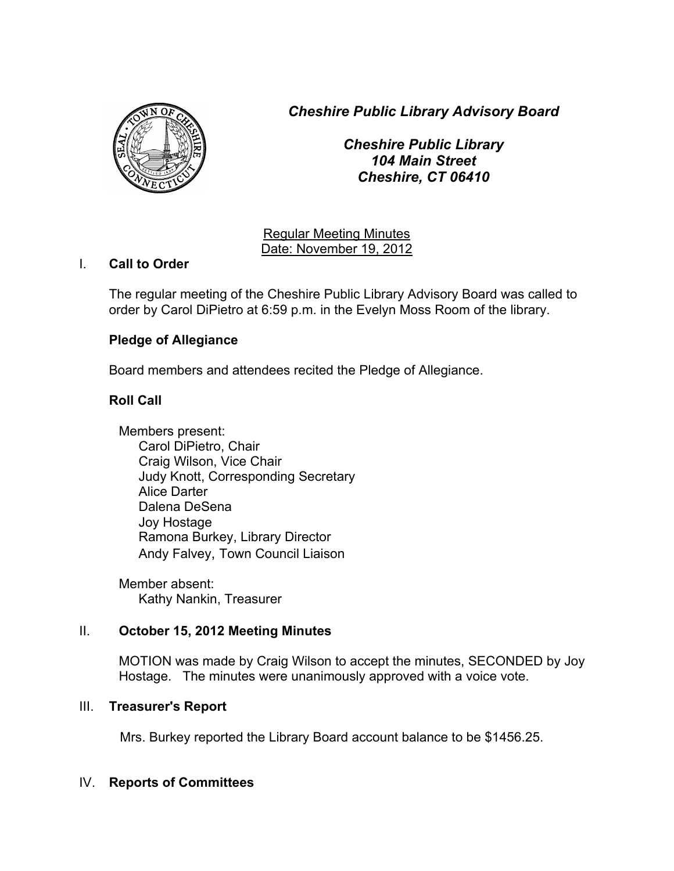*Cheshire Public Library Advisory Board*



*Cheshire Public Library 104 Main Street Cheshire, CT 06410*

Regular Meeting Minutes Date: November 19, 2012

## I. **Call to Order**

The regular meeting of the Cheshire Public Library Advisory Board was called to order by Carol DiPietro at 6:59 p.m. in the Evelyn Moss Room of the library.

# **Pledge of Allegiance**

Board members and attendees recited the Pledge of Allegiance.

# **Roll Call**

Members present: Carol DiPietro, Chair Craig Wilson, Vice Chair Judy Knott, Corresponding Secretary Alice Darter Dalena DeSena Joy Hostage Ramona Burkey, Library Director Andy Falvey, Town Council Liaison

Member absent: Kathy Nankin, Treasurer

# II. **October 15, 2012 Meeting Minutes**

MOTION was made by Craig Wilson to accept the minutes, SECONDED by Joy Hostage. The minutes were unanimously approved with a voice vote.

# III. **Treasurer's Report**

Mrs. Burkey reported the Library Board account balance to be \$1456.25.

# IV. **Reports of Committees**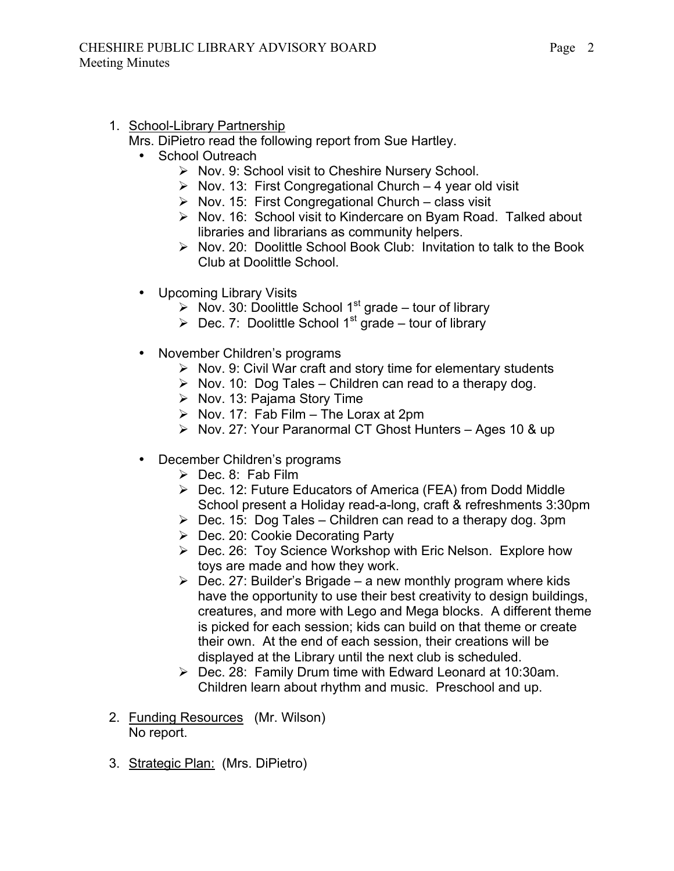1. School-Library Partnership

Mrs. DiPietro read the following report from Sue Hartley.

- School Outreach
	- $\triangleright$  Nov. 9: School visit to Cheshire Nursery School.
	- $\triangleright$  Nov. 13: First Congregational Church 4 year old visit
	- $\triangleright$  Nov. 15: First Congregational Church class visit
	- $\triangleright$  Nov. 16: School visit to Kindercare on Byam Road. Talked about libraries and librarians as community helpers.
	- $\triangleright$  Nov. 20: Doolittle School Book Club: Invitation to talk to the Book Club at Doolittle School.
- Upcoming Library Visits
	- $\triangleright$  Nov. 30: Doolittle School 1<sup>st</sup> grade tour of library
	- $\triangleright$  Dec. 7: Doolittle School 1<sup>st</sup> grade tour of library
- November Children's programs
	- $\triangleright$  Nov. 9: Civil War craft and story time for elementary students
	- $\triangleright$  Nov. 10: Dog Tales Children can read to a therapy dog.
	- $\triangleright$  Nov. 13: Pajama Story Time
	- $\triangleright$  Nov. 17: Fab Film The Lorax at 2pm
	- ▶ Nov. 27: Your Paranormal CT Ghost Hunters Ages 10 & up
- December Children's programs
	- $\triangleright$  Dec. 8: Fab Film
	- ▶ Dec. 12: Future Educators of America (FEA) from Dodd Middle School present a Holiday read-a-long, craft & refreshments 3:30pm
	- $\triangleright$  Dec. 15: Dog Tales Children can read to a therapy dog. 3pm
	- $\triangleright$  Dec. 20: Cookie Decorating Party
	- ▶ Dec. 26: Toy Science Workshop with Eric Nelson. Explore how toys are made and how they work.
	- $\triangleright$  Dec. 27: Builder's Brigade a new monthly program where kids have the opportunity to use their best creativity to design buildings, creatures, and more with Lego and Mega blocks. A different theme is picked for each session; kids can build on that theme or create their own. At the end of each session, their creations will be displayed at the Library until the next club is scheduled.
	- $\triangleright$  Dec. 28: Family Drum time with Edward Leonard at 10:30am. Children learn about rhythm and music. Preschool and up.
- 2. Funding Resources (Mr. Wilson) No report.
- 3. Strategic Plan: (Mrs. DiPietro)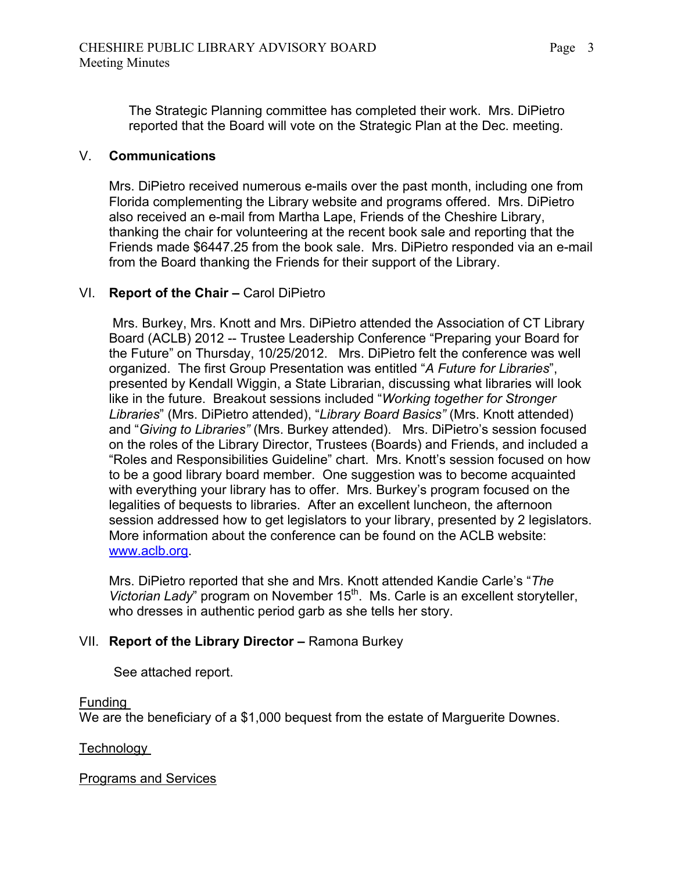The Strategic Planning committee has completed their work. Mrs. DiPietro reported that the Board will vote on the Strategic Plan at the Dec. meeting.

## V. **Communications**

Mrs. DiPietro received numerous e-mails over the past month, including one from Florida complementing the Library website and programs offered. Mrs. DiPietro also received an e-mail from Martha Lape, Friends of the Cheshire Library, thanking the chair for volunteering at the recent book sale and reporting that the Friends made \$6447.25 from the book sale. Mrs. DiPietro responded via an e-mail from the Board thanking the Friends for their support of the Library.

### VI. **Report of the Chair –** Carol DiPietro

Mrs. Burkey, Mrs. Knott and Mrs. DiPietro attended the Association of CT Library Board (ACLB) 2012 -- Trustee Leadership Conference "Preparing your Board for the Future" on Thursday, 10/25/2012. Mrs. DiPietro felt the conference was well organized. The first Group Presentation was entitled "*A Future for Libraries*", presented by Kendall Wiggin, a State Librarian, discussing what libraries will look like in the future. Breakout sessions included "*Working together for Stronger Libraries*" (Mrs. DiPietro attended), "*Library Board Basics"* (Mrs. Knott attended) and "*Giving to Libraries"* (Mrs. Burkey attended). Mrs. DiPietro's session focused on the roles of the Library Director, Trustees (Boards) and Friends, and included a "Roles and Responsibilities Guideline" chart. Mrs. Knott's session focused on how to be a good library board member. One suggestion was to become acquainted with everything your library has to offer. Mrs. Burkey's program focused on the legalities of bequests to libraries. After an excellent luncheon, the afternoon session addressed how to get legislators to your library, presented by 2 legislators. More information about the conference can be found on the ACLB website: www.aclb.org.

Mrs. DiPietro reported that she and Mrs. Knott attended Kandie Carle's "*The Victorian Lady*" program on November 15<sup>th</sup>. Ms. Carle is an excellent storyteller, who dresses in authentic period garb as she tells her story.

## VII. **Report of the Library Director –** Ramona Burkey

See attached report.

#### Funding

We are the beneficiary of a \$1,000 bequest from the estate of Marguerite Downes.

**Technology** 

#### Programs and Services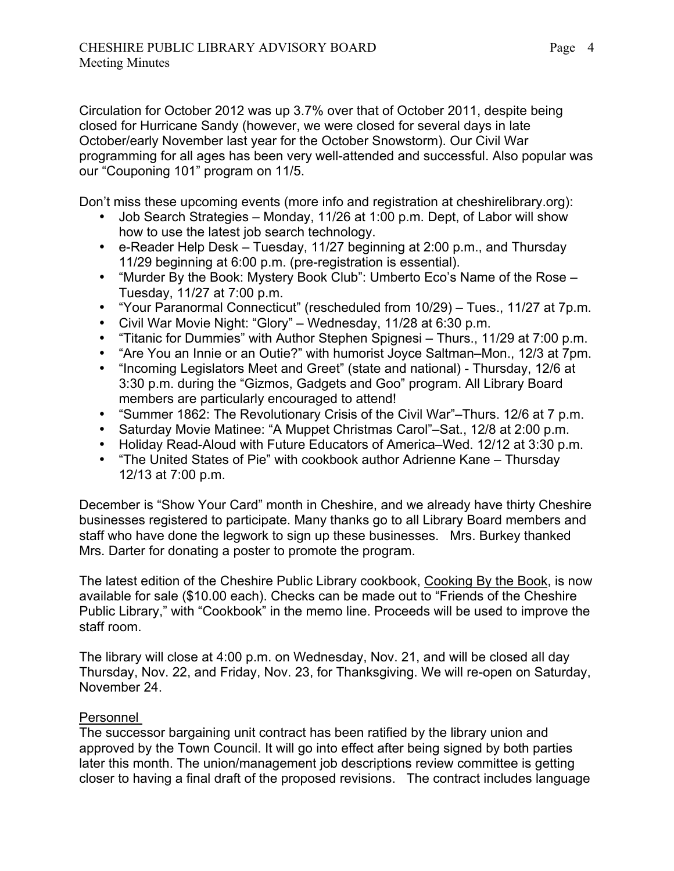Circulation for October 2012 was up 3.7% over that of October 2011, despite being closed for Hurricane Sandy (however, we were closed for several days in late October/early November last year for the October Snowstorm). Our Civil War programming for all ages has been very well-attended and successful. Also popular was our "Couponing 101" program on 11/5.

Don't miss these upcoming events (more info and registration at cheshirelibrary.org):

- Job Search Strategies Monday, 11/26 at 1:00 p.m. Dept, of Labor will show how to use the latest job search technology.
- e-Reader Help Desk Tuesday, 11/27 beginning at 2:00 p.m., and Thursday 11/29 beginning at 6:00 p.m. (pre-registration is essential).
- "Murder By the Book: Mystery Book Club": Umberto Eco's Name of the Rose Tuesday, 11/27 at 7:00 p.m.
- "Your Paranormal Connecticut" (rescheduled from 10/29) Tues., 11/27 at 7p.m.
- Civil War Movie Night: "Glory" Wednesday, 11/28 at 6:30 p.m.
- "Titanic for Dummies" with Author Stephen Spignesi Thurs., 11/29 at 7:00 p.m.
- "Are You an Innie or an Outie?" with humorist Joyce Saltman–Mon., 12/3 at 7pm.
- "Incoming Legislators Meet and Greet" (state and national) Thursday, 12/6 at 3:30 p.m. during the "Gizmos, Gadgets and Goo" program. All Library Board members are particularly encouraged to attend!
- "Summer 1862: The Revolutionary Crisis of the Civil War"–Thurs. 12/6 at 7 p.m.
- Saturday Movie Matinee: "A Muppet Christmas Carol"–Sat., 12/8 at 2:00 p.m.
- Holiday Read-Aloud with Future Educators of America–Wed. 12/12 at 3:30 p.m.
- "The United States of Pie" with cookbook author Adrienne Kane Thursday 12/13 at 7:00 p.m.

December is "Show Your Card" month in Cheshire, and we already have thirty Cheshire businesses registered to participate. Many thanks go to all Library Board members and staff who have done the legwork to sign up these businesses. Mrs. Burkey thanked Mrs. Darter for donating a poster to promote the program.

The latest edition of the Cheshire Public Library cookbook, Cooking By the Book, is now available for sale (\$10.00 each). Checks can be made out to "Friends of the Cheshire Public Library," with "Cookbook" in the memo line. Proceeds will be used to improve the staff room.

The library will close at 4:00 p.m. on Wednesday, Nov. 21, and will be closed all day Thursday, Nov. 22, and Friday, Nov. 23, for Thanksgiving. We will re-open on Saturday, November 24.

## Personnel

The successor bargaining unit contract has been ratified by the library union and approved by the Town Council. It will go into effect after being signed by both parties later this month. The union/management job descriptions review committee is getting closer to having a final draft of the proposed revisions. The contract includes language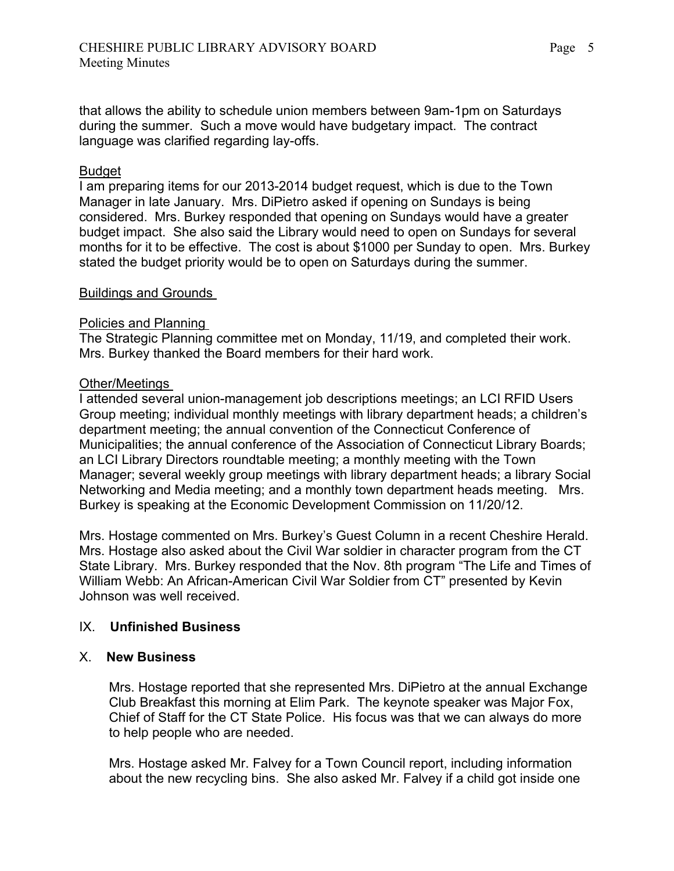that allows the ability to schedule union members between 9am-1pm on Saturdays during the summer. Such a move would have budgetary impact. The contract language was clarified regarding lay-offs.

## Budget

I am preparing items for our 2013-2014 budget request, which is due to the Town Manager in late January. Mrs. DiPietro asked if opening on Sundays is being considered. Mrs. Burkey responded that opening on Sundays would have a greater budget impact. She also said the Library would need to open on Sundays for several months for it to be effective. The cost is about \$1000 per Sunday to open. Mrs. Burkey stated the budget priority would be to open on Saturdays during the summer.

### Buildings and Grounds

### Policies and Planning

The Strategic Planning committee met on Monday, 11/19, and completed their work. Mrs. Burkey thanked the Board members for their hard work.

### Other/Meetings

I attended several union-management job descriptions meetings; an LCI RFID Users Group meeting; individual monthly meetings with library department heads; a children's department meeting; the annual convention of the Connecticut Conference of Municipalities; the annual conference of the Association of Connecticut Library Boards; an LCI Library Directors roundtable meeting; a monthly meeting with the Town Manager; several weekly group meetings with library department heads; a library Social Networking and Media meeting; and a monthly town department heads meeting. Mrs. Burkey is speaking at the Economic Development Commission on 11/20/12.

Mrs. Hostage commented on Mrs. Burkey's Guest Column in a recent Cheshire Herald. Mrs. Hostage also asked about the Civil War soldier in character program from the CT State Library. Mrs. Burkey responded that the Nov. 8th program "The Life and Times of William Webb: An African-American Civil War Soldier from CT" presented by Kevin Johnson was well received.

## IX. **Unfinished Business**

## X. **New Business**

Mrs. Hostage reported that she represented Mrs. DiPietro at the annual Exchange Club Breakfast this morning at Elim Park. The keynote speaker was Major Fox, Chief of Staff for the CT State Police. His focus was that we can always do more to help people who are needed.

Mrs. Hostage asked Mr. Falvey for a Town Council report, including information about the new recycling bins. She also asked Mr. Falvey if a child got inside one